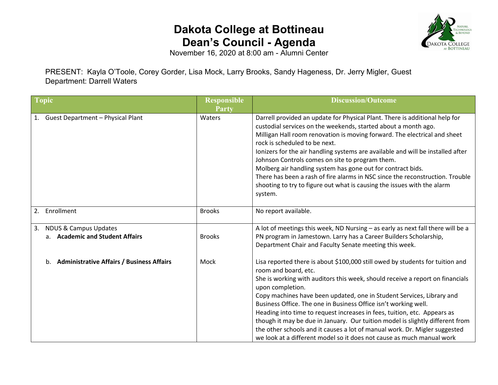## **Dakota College at Bottineau Dean's Council - Agenda**



November 16, 2020 at 8:00 am - Alumni Center

PRESENT: Kayla O'Toole, Corey Gorder, Lisa Mock, Larry Brooks, Sandy Hageness, Dr. Jerry Migler, Guest Department: Darrell Waters

| <b>Topic</b>                                                              | <b>Responsible</b><br>Party | <b>Discussion/Outcome</b>                                                                                                                                                                                                                                                                                                                                                                                                                                                                                                                                                                                                                                                  |
|---------------------------------------------------------------------------|-----------------------------|----------------------------------------------------------------------------------------------------------------------------------------------------------------------------------------------------------------------------------------------------------------------------------------------------------------------------------------------------------------------------------------------------------------------------------------------------------------------------------------------------------------------------------------------------------------------------------------------------------------------------------------------------------------------------|
| <b>Guest Department - Physical Plant</b><br>1.                            | Waters                      | Darrell provided an update for Physical Plant. There is additional help for<br>custodial services on the weekends, started about a month ago.<br>Milligan Hall room renovation is moving forward. The electrical and sheet<br>rock is scheduled to be next.<br>lonizers for the air handling systems are available and will be installed after<br>Johnson Controls comes on site to program them.<br>Molberg air handling system has gone out for contract bids.<br>There has been a rash of fire alarms in NSC since the reconstruction. Trouble<br>shooting to try to figure out what is causing the issues with the alarm<br>system.                                    |
| Enrollment<br>2.                                                          | <b>Brooks</b>               | No report available.                                                                                                                                                                                                                                                                                                                                                                                                                                                                                                                                                                                                                                                       |
| <b>NDUS &amp; Campus Updates</b><br>3.<br>a. Academic and Student Affairs | <b>Brooks</b>               | A lot of meetings this week, ND Nursing - as early as next fall there will be a<br>PN program in Jamestown. Larry has a Career Builders Scholarship,<br>Department Chair and Faculty Senate meeting this week.                                                                                                                                                                                                                                                                                                                                                                                                                                                             |
| <b>Administrative Affairs / Business Affairs</b>                          | Mock                        | Lisa reported there is about \$100,000 still owed by students for tuition and<br>room and board, etc.<br>She is working with auditors this week, should receive a report on financials<br>upon completion.<br>Copy machines have been updated, one in Student Services, Library and<br>Business Office. The one in Business Office isn't working well.<br>Heading into time to request increases in fees, tuition, etc. Appears as<br>though it may be due in January. Our tuition model is slightly different from<br>the other schools and it causes a lot of manual work. Dr. Migler suggested<br>we look at a different model so it does not cause as much manual work |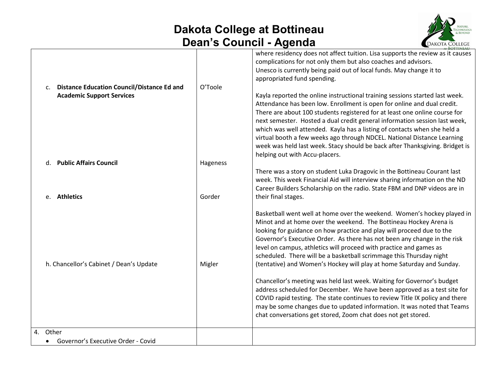## **Dakota College at Bottineau Dean's Council - Agenda**



| c. Distance Education Council/Distance Ed and | O'Toole  | where residency does not affect tuition. Lisa supports the review as it causes<br>complications for not only them but also coaches and advisors.<br>Unesco is currently being paid out of local funds. May change it to<br>appropriated fund spending.                                                                                                                                                                                                                                                                                                                                       |
|-----------------------------------------------|----------|----------------------------------------------------------------------------------------------------------------------------------------------------------------------------------------------------------------------------------------------------------------------------------------------------------------------------------------------------------------------------------------------------------------------------------------------------------------------------------------------------------------------------------------------------------------------------------------------|
| <b>Academic Support Services</b>              |          | Kayla reported the online instructional training sessions started last week.<br>Attendance has been low. Enrollment is open for online and dual credit.<br>There are about 100 students registered for at least one online course for<br>next semester. Hosted a dual credit general information session last week,<br>which was well attended. Kayla has a listing of contacts when she held a<br>virtual booth a few weeks ago through NDCEL. National Distance Learning<br>week was held last week. Stacy should be back after Thanksgiving. Bridget is<br>helping out with Accu-placers. |
| d. Public Affairs Council                     | Hageness |                                                                                                                                                                                                                                                                                                                                                                                                                                                                                                                                                                                              |
| e. Athletics                                  | Gorder   | There was a story on student Luka Dragovic in the Bottineau Courant last<br>week. This week Financial Aid will interview sharing information on the ND<br>Career Builders Scholarship on the radio. State FBM and DNP videos are in<br>their final stages.                                                                                                                                                                                                                                                                                                                                   |
| h. Chancellor's Cabinet / Dean's Update       | Migler   | Basketball went well at home over the weekend. Women's hockey played in<br>Minot and at home over the weekend. The Bottineau Hockey Arena is<br>looking for guidance on how practice and play will proceed due to the<br>Governor's Executive Order. As there has not been any change in the risk<br>level on campus, athletics will proceed with practice and games as<br>scheduled. There will be a basketball scrimmage this Thursday night<br>(tentative) and Women's Hockey will play at home Saturday and Sunday.                                                                      |
|                                               |          | Chancellor's meeting was held last week. Waiting for Governor's budget<br>address scheduled for December. We have been approved as a test site for<br>COVID rapid testing. The state continues to review Title IX policy and there<br>may be some changes due to updated information. It was noted that Teams<br>chat conversations get stored, Zoom chat does not get stored.                                                                                                                                                                                                               |
| 4. Other                                      |          |                                                                                                                                                                                                                                                                                                                                                                                                                                                                                                                                                                                              |
| Governor's Executive Order - Covid            |          |                                                                                                                                                                                                                                                                                                                                                                                                                                                                                                                                                                                              |